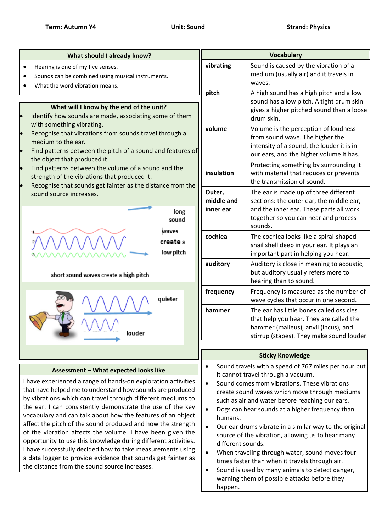| What should I already know?                                                                                                                                                                                                                                                                                                                                                                                                                                                                                                                                                                                                                                                                                                                   | <b>Vocabulary</b>                                                                                                                                                                                                                                                                                                                                                                                                                                                                                                                                                                                                                                                                                                                                 |                                                                                                                                                                                 |
|-----------------------------------------------------------------------------------------------------------------------------------------------------------------------------------------------------------------------------------------------------------------------------------------------------------------------------------------------------------------------------------------------------------------------------------------------------------------------------------------------------------------------------------------------------------------------------------------------------------------------------------------------------------------------------------------------------------------------------------------------|---------------------------------------------------------------------------------------------------------------------------------------------------------------------------------------------------------------------------------------------------------------------------------------------------------------------------------------------------------------------------------------------------------------------------------------------------------------------------------------------------------------------------------------------------------------------------------------------------------------------------------------------------------------------------------------------------------------------------------------------------|---------------------------------------------------------------------------------------------------------------------------------------------------------------------------------|
| Hearing is one of my five senses.<br>$\bullet$<br>Sounds can be combined using musical instruments.<br>What the word vibration means.                                                                                                                                                                                                                                                                                                                                                                                                                                                                                                                                                                                                         | vibrating                                                                                                                                                                                                                                                                                                                                                                                                                                                                                                                                                                                                                                                                                                                                         | Sound is caused by the vibration of a<br>medium (usually air) and it travels in<br>waves.                                                                                       |
| What will I know by the end of the unit?<br>Identify how sounds are made, associating some of them<br>le<br>with something vibrating.<br>Recognise that vibrations from sounds travel through a<br>medium to the ear.<br>Find patterns between the pitch of a sound and features of<br>lo<br>the object that produced it.<br>Find patterns between the volume of a sound and the<br>le<br>strength of the vibrations that produced it.<br>Recognise that sounds get fainter as the distance from the<br>sound source increases.<br>long<br>sound<br>waves<br>create a<br>low pitch                                                                                                                                                            | pitch                                                                                                                                                                                                                                                                                                                                                                                                                                                                                                                                                                                                                                                                                                                                             | A high sound has a high pitch and a low<br>sound has a low pitch. A tight drum skin<br>gives a higher pitched sound than a loose<br>drum skin.                                  |
|                                                                                                                                                                                                                                                                                                                                                                                                                                                                                                                                                                                                                                                                                                                                               | volume                                                                                                                                                                                                                                                                                                                                                                                                                                                                                                                                                                                                                                                                                                                                            | Volume is the perception of loudness<br>from sound wave. The higher the<br>intensity of a sound, the louder it is in<br>our ears, and the higher volume it has.                 |
|                                                                                                                                                                                                                                                                                                                                                                                                                                                                                                                                                                                                                                                                                                                                               | insulation                                                                                                                                                                                                                                                                                                                                                                                                                                                                                                                                                                                                                                                                                                                                        | Protecting something by surrounding it<br>with material that reduces or prevents<br>the transmission of sound.                                                                  |
|                                                                                                                                                                                                                                                                                                                                                                                                                                                                                                                                                                                                                                                                                                                                               | Outer,<br>middle and<br>inner ear                                                                                                                                                                                                                                                                                                                                                                                                                                                                                                                                                                                                                                                                                                                 | The ear is made up of three different<br>sections: the outer ear, the middle ear,<br>and the inner ear. These parts all work<br>together so you can hear and process<br>sounds. |
|                                                                                                                                                                                                                                                                                                                                                                                                                                                                                                                                                                                                                                                                                                                                               | cochlea                                                                                                                                                                                                                                                                                                                                                                                                                                                                                                                                                                                                                                                                                                                                           | The cochlea looks like a spiral-shaped<br>snail shell deep in your ear. It plays an<br>important part in helping you hear.                                                      |
| short sound waves create a high pitch                                                                                                                                                                                                                                                                                                                                                                                                                                                                                                                                                                                                                                                                                                         | auditory                                                                                                                                                                                                                                                                                                                                                                                                                                                                                                                                                                                                                                                                                                                                          | Auditory is close in meaning to acoustic,<br>but auditory usually refers more to<br>hearing than to sound.                                                                      |
| quieter<br>louder                                                                                                                                                                                                                                                                                                                                                                                                                                                                                                                                                                                                                                                                                                                             | frequency                                                                                                                                                                                                                                                                                                                                                                                                                                                                                                                                                                                                                                                                                                                                         | Frequency is measured as the number of<br>wave cycles that occur in one second.                                                                                                 |
|                                                                                                                                                                                                                                                                                                                                                                                                                                                                                                                                                                                                                                                                                                                                               | hammer                                                                                                                                                                                                                                                                                                                                                                                                                                                                                                                                                                                                                                                                                                                                            | The ear has little bones called ossicles<br>that help you hear. They are called the<br>hammer (malleus), anvil (incus), and<br>stirrup (stapes). They make sound louder.        |
|                                                                                                                                                                                                                                                                                                                                                                                                                                                                                                                                                                                                                                                                                                                                               | <b>Sticky Knowledge</b>                                                                                                                                                                                                                                                                                                                                                                                                                                                                                                                                                                                                                                                                                                                           |                                                                                                                                                                                 |
| Assessment - What expected looks like<br>I have experienced a range of hands-on exploration activities<br>that have helped me to understand how sounds are produced<br>by vibrations which can travel through different mediums to<br>the ear. I can consistently demonstrate the use of the key<br>vocabulary and can talk about how the features of an object<br>affect the pitch of the sound produced and how the strength<br>of the vibration affects the volume. I have been given the<br>opportunity to use this knowledge during different activities.<br>I have successfully decided how to take measurements using<br>a data logger to provide evidence that sounds get fainter as<br>the distance from the sound source increases. | Sound travels with a speed of 767 miles per hour but<br>$\bullet$<br>it cannot travel through a vacuum.<br>Sound comes from vibrations. These vibrations<br>$\bullet$<br>create sound waves which move through mediums<br>such as air and water before reaching our ears.<br>Dogs can hear sounds at a higher frequency than<br>$\bullet$<br>humans.<br>Our ear drums vibrate in a similar way to the original<br>$\bullet$<br>source of the vibration, allowing us to hear many<br>different sounds.<br>When traveling through water, sound moves four<br>$\bullet$<br>times faster than when it travels through air.<br>Sound is used by many animals to detect danger,<br>$\bullet$<br>warning them of possible attacks before they<br>happen. |                                                                                                                                                                                 |